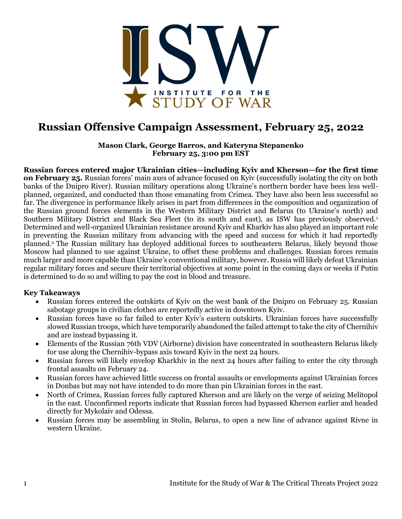

## **Russian Offensive Campaign Assessment, February 25, 2022**

**Mason Clark, George Barros, and Kateryna Stepanenko February 25, 3:00 pm EST**

**Russian forces entered major Ukrainian cities—including Kyiv and Kherson—for the first time on February 25.** Russian forces' main axes of advance focused on Kyiv (successfully isolating the city on both banks of the Dnipro River). Russian military operations along Ukraine's northern border have been less wellplanned, organized, and conducted than those emanating from Crimea. They have also been less successful so far. The divergence in performance likely arises in part from differences in the composition and organization of the Russian ground forces elements in the Western Military District and Belarus (to Ukraine's north) and Southern Military District and Black Sea Fleet (to its south and east), as ISW has previously observed.<sup>1</sup> Determined and well-organized Ukrainian resistance around Kyiv and Kharkiv has also played an important role in preventing the Russian military from advancing with the speed and success for which it had reportedly planned.<sup>2</sup> The Russian military has deployed additional forces to southeastern Belarus, likely beyond those Moscow had planned to use against Ukraine, to offset these problems and challenges. Russian forces remain much larger and more capable than Ukraine's conventional military, however. Russia will likely defeat Ukrainian regular military forces and secure their territorial objectives at some point in the coming days or weeks if Putin is determined to do so and willing to pay the cost in blood and treasure.

#### **Key Takeaways**

- Russian forces entered the outskirts of Kyiv on the west bank of the Dnipro on February 25. Russian sabotage groups in civilian clothes are reportedly active in downtown Kyiv.
- Russian forces have so far failed to enter Kyiv's eastern outskirts. Ukrainian forces have successfully slowed Russian troops, which have temporarily abandoned the failed attempt to take the city of Chernihiv and are instead bypassing it.
- Elements of the Russian 76th VDV (Airborne) division have concentrated in southeastern Belarus likely for use along the Chernihiv-bypass axis toward Kyiv in the next 24 hours.
- Russian forces will likely envelop Kharkhiv in the next 24 hours after failing to enter the city through frontal assaults on February 24.
- Russian forces have achieved little success on frontal assaults or envelopments against Ukrainian forces in Donbas but may not have intended to do more than pin Ukrainian forces in the east.
- North of Crimea, Russian forces fully captured Kherson and are likely on the verge of seizing Melitopol in the east. Unconfirmed reports indicate that Russian forces had bypassed Kherson earlier and headed directly for Mykolaiv and Odessa.
- Russian forces may be assembling in Stolin, Belarus, to open a new line of advance against Rivne in western Ukraine.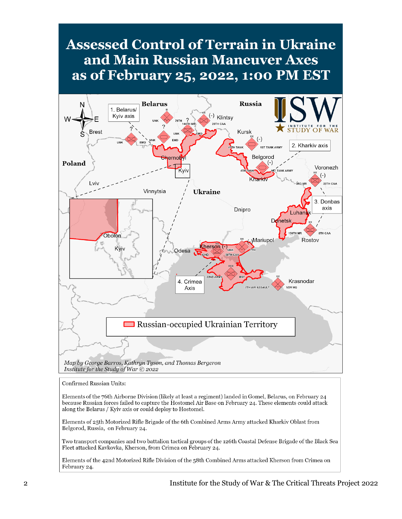# **Assessed Control of Terrain in Ukraine** and Main Russian Maneuver Axes as of February 25, 2022, 1:00 PM EST



Confirmed Russian Units:

Elements of the 76th Airborne Division (likely at least a regiment) landed in Gomel, Belarus, on February 24 because Russian forces failed to capture the Hostomel Air Base on February 24. These elements could attack along the Belarus / Kyiv axis or could deploy to Hostomel.

Elements of 25th Motorized Rifle Brigade of the 6th Combined Arms Army attacked Kharkiv Oblast from Belgorod, Russia, on February 24.

Two transport companies and two battalion tactical groups of the 126th Coastal Defense Brigade of the Black Sea Fleet attacked Kavkovka, Kherson, from Crimea on February 24.

Elements of the 42nd Motorized Rifle Division of the 58th Combined Arms attacked Kherson from Crimea on February 24.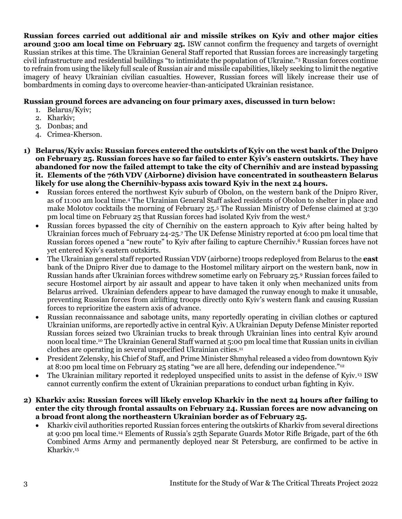**Russian forces carried out additional air and missile strikes on Kyiv and other major cities around 3:00 am local time on February 25.** ISW cannot confirm the frequency and targets of overnight Russian strikes at this time. The Ukrainian General Staff reported that Russian forces are increasingly targeting civil infrastructure and residential buildings "to intimidate the population of Ukraine."<sup>3</sup> Russian forces continue to refrain from using the likely full scale of Russian air and missile capabilities, likely seeking to limit the negative imagery of heavy Ukrainian civilian casualties. However, Russian forces will likely increase their use of bombardments in coming days to overcome heavier-than-anticipated Ukrainian resistance.

### **Russian ground forces are advancing on four primary axes, discussed in turn below:**

- 1. Belarus/Kyiv;
- 2. Kharkiv;
- 3. Donbas; and
- 4. Crimea-Kherson.
- **1) Belarus/Kyiv axis: Russian forces entered the outskirts of Kyiv on the west bank of the Dnipro on February 25. Russian forces have so far failed to enter Kyiv's eastern outskirts. They have abandoned for now the failed attempt to take the city of Chernihiv and are instead bypassing it. Elements of the 76th VDV (Airborne) division have concentrated in southeastern Belarus likely for use along the Chernihiv-bypass axis toward Kyiv in the next 24 hours.** 
	- Russian forces entered the northwest Kyiv suburb of Obolon, on the western bank of the Dnipro River, as of 11:00 am local time.<sup>4</sup> The Ukrainian General Staff asked residents of Obolon to shelter in place and make Molotov cocktails the morning of February 25.<sup>5</sup> The Russian Ministry of Defense claimed at 3:30 pm local time on February 25 that Russian forces had isolated Kyiv from the west.<sup>6</sup>
	- Russian forces bypassed the city of Chernihiv on the eastern approach to Kyiv after being halted by Ukrainian forces much of February 24-25.<sup>7</sup> The UK Defense Ministry reported at 6:00 pm local time that Russian forces opened a "new route" to Kyiv after failing to capture Chernihiv.<sup>8</sup> Russian forces have not yet entered Kyiv's eastern outskirts.
	- The Ukrainian general staff reported Russian VDV (airborne) troops redeployed from Belarus to the **east**  bank of the Dnipro River due to damage to the Hostomel military airport on the western bank, now in Russian hands after Ukrainian forces withdrew sometime early on February 25.<sup>9</sup> Russian forces failed to secure Hostomel airport by air assault and appear to have taken it only when mechanized units from Belarus arrived. Ukrainian defenders appear to have damaged the runway enough to make it unusable, preventing Russian forces from airlifting troops directly onto Kyiv's western flank and causing Russian forces to reprioritize the eastern axis of advance.
	- Russian reconnaissance and sabotage units, many reportedly operating in civilian clothes or captured Ukrainian uniforms, are reportedly active in central Kyiv. A Ukrainian Deputy Defense Minister reported Russian forces seized two Ukrainian trucks to break through Ukrainian lines into central Kyiv around noon local time.<sup>10</sup> The Ukrainian General Staff warned at 5:00 pm local time that Russian units in civilian clothes are operating in several unspecified Ukrainian cities.<sup>11</sup>
	- President Zelensky, his Chief of Staff, and Prime Minister Shmyhal released a video from downtown Kyiv at 8:00 pm local time on February 25 stating "we are all here, defending our independence."<sup>12</sup>
	- The Ukrainian military reported it redeployed unspecified units to assist in the defense of Kyiv.<sup>13</sup> ISW cannot currently confirm the extent of Ukrainian preparations to conduct urban fighting in Kyiv.
- **2) Kharkiv axis: Russian forces will likely envelop Kharkiv in the next 24 hours after failing to enter the city through frontal assaults on February 24. Russian forces are now advancing on a broad front along the northeastern Ukrainian border as of February 25.**
	- Kharkiv civil authorities reported Russian forces entering the outskirts of Kharkiv from several directions at 9:00 pm local time.<sup>14</sup> Elements of Russia's 25th Separate Guards Motor Rifle Brigade, part of the 6th Combined Arms Army and permanently deployed near St Petersburg, are confirmed to be active in Kharkiv.15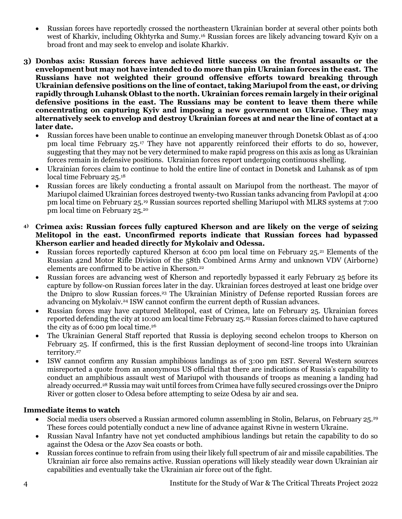- Russian forces have reportedly crossed the northeastern Ukrainian border at several other points both west of Kharkiv, including Okhtyrka and Sumy.<sup>16</sup> Russian forces are likely advancing toward Kyiv on a broad front and may seek to envelop and isolate Kharkiv.
- **3) Donbas axis: Russian forces have achieved little success on the frontal assaults or the envelopment but may not have intended to do more than pin Ukrainian forces in the east. The Russians have not weighted their ground offensive efforts toward breaking through Ukrainian defensive positions on the line of contact, taking Mariupol from the east, or driving rapidly through Luhansk Oblast to the north. Ukrainian forces remain largely in their original defensive positions in the east. The Russians may be content to leave them there while concentrating on capturing Kyiv and imposing a new government on Ukraine. They may alternatively seek to envelop and destroy Ukrainian forces at and near the line of contact at a later date.**
	- Russian forces have been unable to continue an enveloping maneuver through Donetsk Oblast as of 4:00 pm local time February 25.<sup>17</sup> They have not apparently reinforced their efforts to do so, however, suggesting that they may not be very determined to make rapid progress on this axis as long as Ukrainian forces remain in defensive positions. Ukrainian forces report undergoing continuous shelling.
	- Ukrainian forces claim to continue to hold the entire line of contact in Donetsk and Luhansk as of 1pm local time February 25.<sup>18</sup>
	- Russian forces are likely conducting a frontal assault on Mariupol from the northeast. The mayor of Mariupol claimed Ukrainian forces destroyed twenty-two Russian tanks advancing from Pavlopil at 4:00 pm local time on February 25.<sup>19</sup> Russian sources reported shelling Mariupol with MLRS systems at 7:00 pm local time on February 25.<sup>20</sup>
- **4) Crimea axis: Russian forces fully captured Kherson and are likely on the verge of seizing Melitopol in the east. Unconfirmed reports indicate that Russian forces had bypassed Kherson earlier and headed directly for Mykolaiv and Odessa.**
	- Russian forces reportedly captured Kherson at 6:00 pm local time on February 25.<sup>21</sup> Elements of the Russian 42nd Motor Rifle Division of the 58th Combined Arms Army and unknown VDV (Airborne) elements are confirmed to be active in Kherson.<sup>22</sup>
	- Russian forces are advancing west of Kherson and reportedly bypassed it early February 25 before its capture by follow-on Russian forces later in the day. Ukrainian forces destroyed at least one bridge over the Dnipro to slow Russian forces.<sup>23</sup> The Ukrainian Ministry of Defense reported Russian forces are advancing on Mykolaiv.<sup>24</sup> ISW cannot confirm the current depth of Russian advances.
	- Russian forces may have captured Melitopol, east of Crimea, late on February 25. Ukrainian forces reported defending the city at 10:00 am local time February 25.<sup>25</sup> Russian forces claimed to have captured the city as of 6:00 pm local time.<sup>26</sup>
	- The Ukrainian General Staff reported that Russia is deploying second echelon troops to Kherson on February 25. If confirmed, this is the first Russian deployment of second-line troops into Ukrainian territory.<sup>27</sup>
	- ISW cannot confirm any Russian amphibious landings as of 3:00 pm EST. Several Western sources misreported a quote from an anonymous US official that there are indications of Russia's capability to conduct an amphibious assault west of Mariupol with thousands of troops as meaning a landing had already occurred.<sup>28</sup> Russia may wait until forces from Crimea have fully secured crossings over the Dnipro River or gotten closer to Odesa before attempting to seize Odesa by air and sea.

### **Immediate items to watch**

- Social media users observed a Russian armored column assembling in Stolin, Belarus, on February 25.<sup>29</sup> These forces could potentially conduct a new line of advance against Rivne in western Ukraine.
- Russian Naval Infantry have not yet conducted amphibious landings but retain the capability to do so against the Odesa or the Azov Sea coasts or both.
- Russian forces continue to refrain from using their likely full spectrum of air and missile capabilities. The Ukrainian air force also remains active. Russian operations will likely steadily wear down Ukrainian air capabilities and eventually take the Ukrainian air force out of the fight.